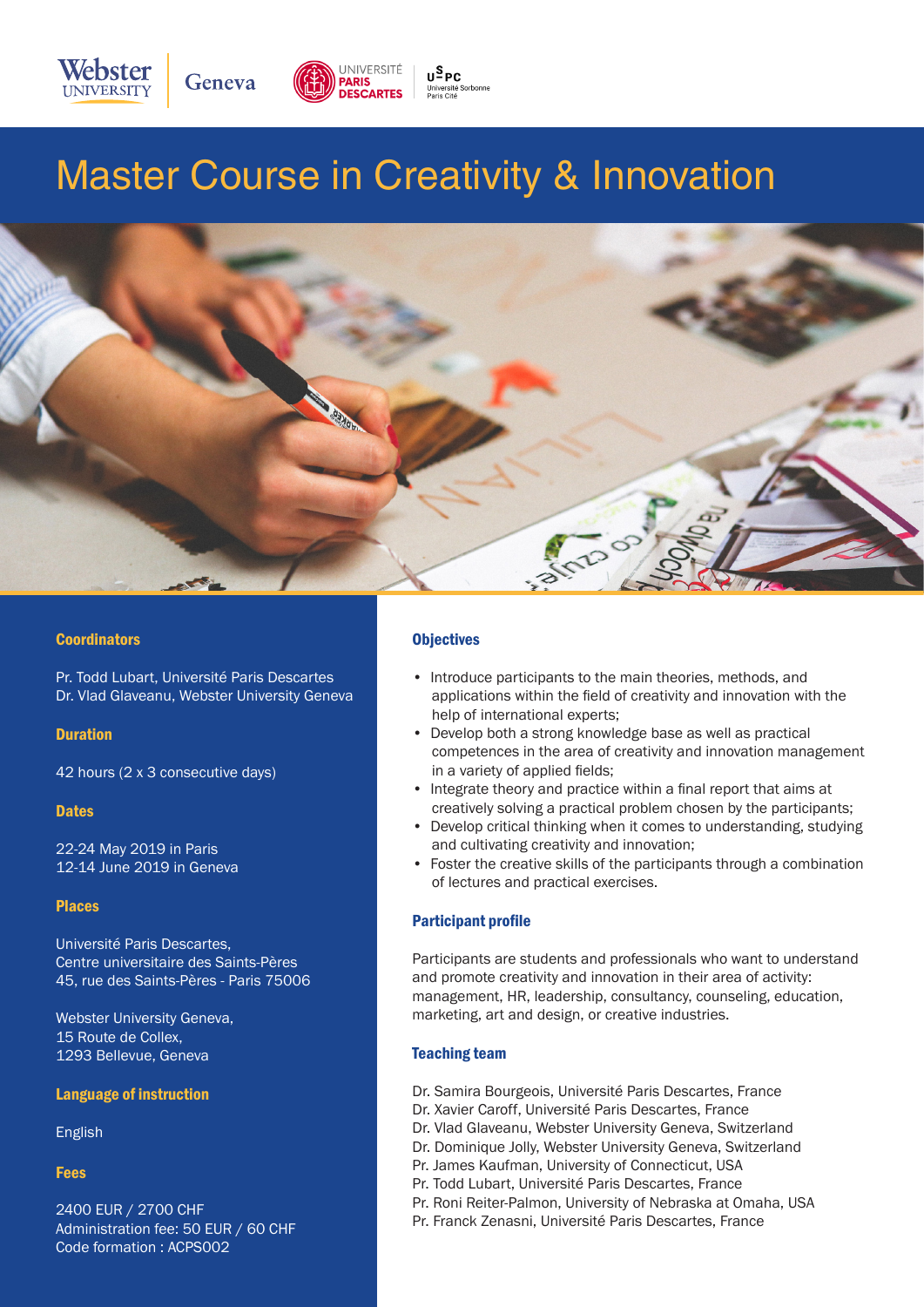

# Master Course in Creativity & Innovation



#### **Coordinators**

Pr. Todd Lubart, Université Paris Descartes Dr. Vlad Glaveanu, Webster University Geneva

#### **Duration**

42 hours (2 x 3 consecutive days)

#### **Dates**

22-24 May 2019 in Paris 12-14 June 2019 in Geneva

#### Places

Université Paris Descartes, Centre universitaire des Saints-Pères 45, rue des Saints-Pères - Paris 75006

Webster University Geneva, 15 Route de Collex, 1293 Bellevue, Geneva

#### Language of instruction

English

#### Fees

2400 EUR / 2700 CHF Administration fee: 50 EUR / 60 CHF Code formation : ACPS002

### **Objectives**

- Introduce participants to the main theories, methods, and applications within the field of creativity and innovation with the help of international experts;
- Develop both a strong knowledge base as well as practical competences in the area of creativity and innovation management in a variety of applied fields;
- Integrate theory and practice within a final report that aims at creatively solving a practical problem chosen by the participants;
- Develop critical thinking when it comes to understanding, studying and cultivating creativity and innovation;
- Foster the creative skills of the participants through a combination of lectures and practical exercises.

#### Participant profile

Participants are students and professionals who want to understand and promote creativity and innovation in their area of activity: management, HR, leadership, consultancy, counseling, education, marketing, art and design, or creative industries.

#### Teaching team

- Dr. Samira Bourgeois, Université Paris Descartes, France
- Dr. Xavier Caroff, Université Paris Descartes, France
- Dr. Vlad Glaveanu, Webster University Geneva, Switzerland
- Dr. Dominique Jolly, Webster University Geneva, Switzerland
- Pr. James Kaufman, University of Connecticut, USA
- Pr. Todd Lubart, Université Paris Descartes, France
- Pr. Roni Reiter-Palmon, University of Nebraska at Omaha, USA
- Pr. Franck Zenasni, Université Paris Descartes, France